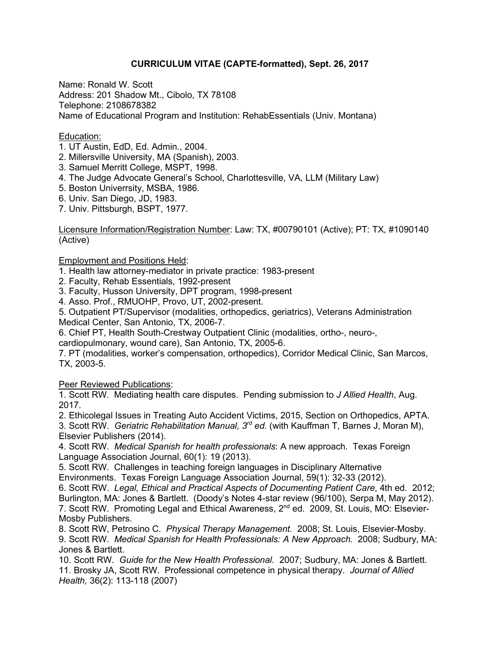# **CURRICULUM VITAE (CAPTE-formatted), Sept. 26, 2017**

Name: Ronald W. Scott Address: 201 Shadow Mt., Cibolo, TX 78108 Telephone: 2108678382 Name of Educational Program and Institution: RehabEssentials (Univ. Montana)

### Education:

- 1. UT Austin, EdD, Ed. Admin., 2004.
- 2. Millersville University, MA (Spanish), 2003.
- 3. Samuel Merritt College, MSPT, 1998.
- 4. The Judge Advocate General's School, Charlottesville, VA, LLM (Military Law)
- 5. Boston Univerrsity, MSBA, 1986.
- 6. Univ. San Diego, JD, 1983.
- 7. Univ. Pittsburgh, BSPT, 1977.

Licensure Information/Registration Number: Law: TX, #00790101 (Active); PT: TX, #1090140 (Active)

Employment and Positions Held:

1. Health law attorney-mediator in private practice: 1983-present

- 2. Faculty, Rehab Essentials, 1992-present
- 3. Faculty, Husson University, DPT program, 1998-present
- 4. Asso. Prof., RMUOHP, Provo, UT, 2002-present.

5. Outpatient PT/Supervisor (modalities, orthopedics, geriatrics), Veterans Administration Medical Center, San Antonio, TX, 2006-7.

6. Chief PT, Health South-Crestway Outpatient Clinic (modalities, ortho-, neuro-,

cardiopulmonary, wound care), San Antonio, TX, 2005-6.

7. PT (modalities, worker's compensation, orthopedics), Corridor Medical Clinic, San Marcos, TX, 2003-5.

**Peer Reviewed Publications:** 

1. Scott RW. Mediating health care disputes. Pending submission to *J Allied Health*, Aug. 2017.

2. Ethicolegal Issues in Treating Auto Accident Victims, 2015, Section on Orthopedics, APTA.

3. Scott RW. *Geriatric Rehabilitation Manual, 3rd ed.* (with Kauffman T, Barnes J, Moran M), Elsevier Publishers (2014).

4. Scott RW. *Medical Spanish for health professionals*: A new approach. Texas Foreign Language Association Journal, 60(1): 19 (2013).

5. Scott RW. Challenges in teaching foreign languages in Disciplinary Alternative Environments. Texas Foreign Language Association Journal, 59(1): 32-33 (2012).

6. Scott RW. *Legal, Ethical and Practical Aspects of Documenting Patient Care*, 4th ed. 2012; Burlington, MA: Jones & Bartlett. (Doody's Notes 4-star review (96/100), Serpa M, May 2012). 7. Scott RW. Promoting Legal and Ethical Awareness, 2<sup>nd</sup> ed. 2009, St. Louis, MO: Elsevier-Mosby Publishers.

8. Scott RW, Petrosino C. *Physical Therapy Management.* 2008; St. Louis, Elsevier-Mosby. 9. Scott RW. *Medical Spanish for Health Professionals: A New Approach.* 2008; Sudbury, MA: Jones & Bartlett.

10. Scott RW. *Guide for the New Health Professional.* 2007; Sudbury, MA: Jones & Bartlett. 11. Brosky JA, Scott RW. Professional competence in physical therapy. *Journal of Allied Health,* 36(2): 113-118 (2007)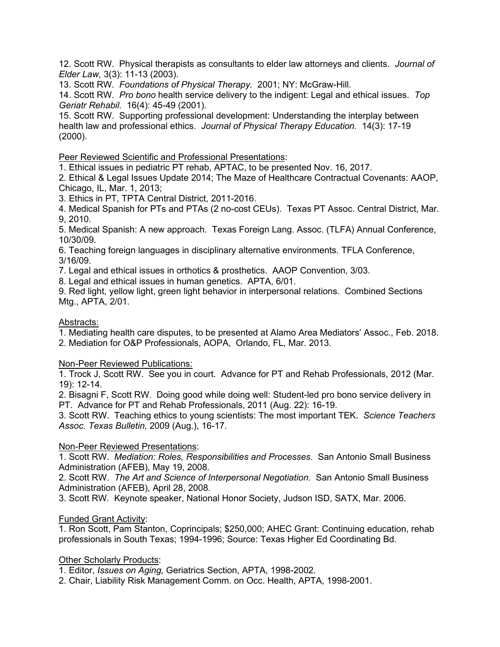12. Scott RW. Physical therapists as consultants to elder law attorneys and clients. *Journal of Elder Law,* 3(3): 11-13 (2003).

13. Scott RW. *Foundations of Physical Therapy.* 2001; NY: McGraw-Hill.

14. Scott RW. *Pro bono* health service delivery to the indigent: Legal and ethical issues. *Top Geriatr Rehabil.* 16(4): 45-49 (2001).

15. Scott RW. Supporting professional development: Understanding the interplay between health law and professional ethics. *Journal of Physical Therapy Education.* 14(3): 17-19 (2000).

Peer Reviewed Scientific and Professional Presentations:

1. Ethical issues in pediatric PT rehab, APTAC, to be presented Nov. 16, 2017.

2. Ethical & Legal Issues Update 2014; The Maze of Healthcare Contractual Covenants: AAOP, Chicago, IL, Mar. 1, 2013;

3. Ethics in PT, TPTA Central District, 2011-2016.

4. Medical Spanish for PTs and PTAs (2 no-cost CEUs). Texas PT Assoc. Central District, Mar. 9, 2010.

5. Medical Spanish: A new approach. Texas Foreign Lang. Assoc. (TLFA) Annual Conference, 10/30/09.

6. Teaching foreign languages in disciplinary alternative environments. TFLA Conference, 3/16/09.

7. Legal and ethical issues in orthotics & prosthetics. AAOP Convention, 3/03.

8. Legal and ethical issues in human genetics. APTA, 6/01.

9. Red light, yellow light, green light behavior in interpersonal relations. Combined Sections Mtg., APTA, 2/01.

# Abstracts:

1. Mediating health care disputes, to be presented at Alamo Area Mediators' Assoc., Feb. 2018.

2. Mediation for O&P Professionals, AOPA, Orlando, FL, Mar. 2013.

## Non-Peer Reviewed Publications:

1. Trock J, Scott RW. See you in court. Advance for PT and Rehab Professionals, 2012 (Mar. 19): 12-14.

2. Bisagni F, Scott RW. Doing good while doing well: Student-led pro bono service delivery in PT. Advance for PT and Rehab Professionals, 2011 (Aug. 22): 16-19.

3. Scott RW. Teaching ethics to young scientists: The most important TEK. *Science Teachers Assoc. Texas Bulletin,* 2009 (Aug.), 16-17.

## Non-Peer Reviewed Presentations:

1. Scott RW. *Mediation: Roles, Responsibilities and Processes*. San Antonio Small Business Administration (AFEB), May 19, 2008.

2. Scott RW. *The Art and Science of Interpersonal Negotiation*. San Antonio Small Business Administration (AFEB), April 28, 2008.

3. Scott RW. Keynote speaker, National Honor Society, Judson ISD, SATX, Mar. 2006.

## Funded Grant Activity:

1. Ron Scott, Pam Stanton, Coprincipals; \$250,000; AHEC Grant: Continuing education, rehab professionals in South Texas; 1994-1996; Source: Texas Higher Ed Coordinating Bd.

## Other Scholarly Products:

1. Editor, *Issues on Aging,* Geriatrics Section, APTA, 1998-2002.

2. Chair, Liability Risk Management Comm. on Occ. Health, APTA, 1998-2001.